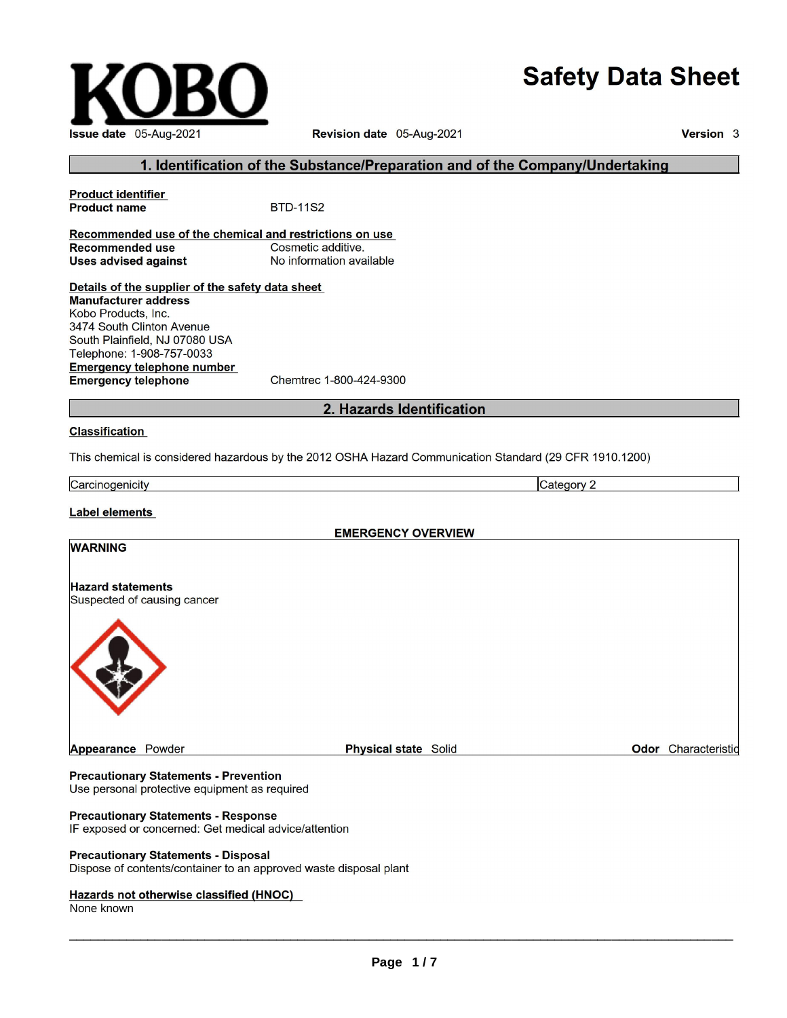# **Safety Data Sheet**

Category 2



Revision date 05-Aug-2021

Version 3

### 1. Identification of the Substance/Preparation and of the Company/Undertaking

**Product identifier Product name BTD-11S2** Recommended use of the chemical and restrictions on use Cosmetic additive. **Recommended use Uses advised against** No information available Details of the supplier of the safety data sheet **Manufacturer address** Kobo Products, Inc. 3474 South Clinton Avenue South Plainfield, NJ 07080 USA Telephone: 1-908-757-0033 **Emergency telephone number Emergency telephone** Chemtrec 1-800-424-9300

2. Hazards Identification

#### **Classification**

This chemical is considered hazardous by the 2012 OSHA Hazard Communication Standard (29 CFR 1910.1200)

Carcinogenicity

**Label elements** 

**WARNING** 

**EMERGENCY OVERVIEW** 

# **Hazard statements** Suspected of causing cancer



### **Precautionary Statements - Prevention**

Use personal protective equipment as required

### **Precautionary Statements - Response**

IF exposed or concerned: Get medical advice/attention

#### **Precautionary Statements - Disposal**

Dispose of contents/container to an approved waste disposal plant

#### Hazards not otherwise classified (HNOC)

None known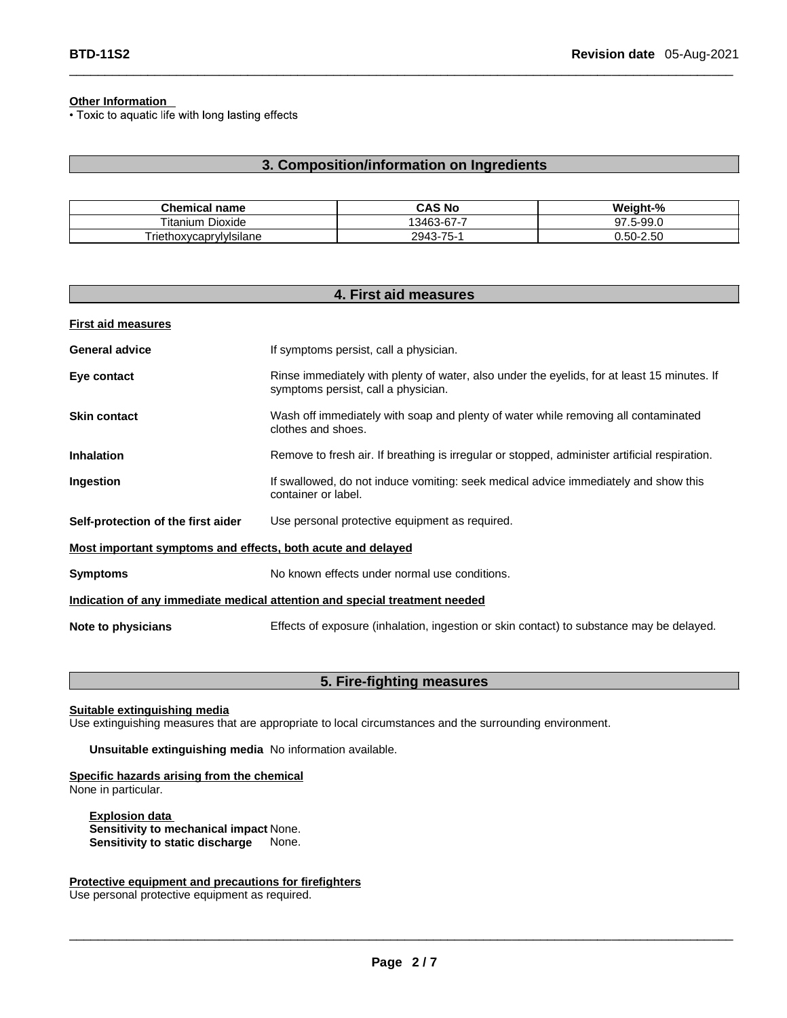**Other Information**<br>
• Toxic to aquatic life with long lasting effects

### **3. Composition/information on Ingredients**

 $\Box$ 

| Chemical<br>name                | CAS No                            | Weight-%          |
|---------------------------------|-----------------------------------|-------------------|
| Dioxide<br>l itanium.           | 13463-67-7                        | 5-99.0<br>97<br>- |
| <u>I</u> riethoxycaprylylsilane | $\overline{ }$<br>2943<br>.3-75-7 | $0.50 - 2.50$     |

| 4. First aid measures                                                      |                                                                                                                                    |  |
|----------------------------------------------------------------------------|------------------------------------------------------------------------------------------------------------------------------------|--|
| <b>First aid measures</b>                                                  |                                                                                                                                    |  |
| <b>General advice</b>                                                      | If symptoms persist, call a physician.                                                                                             |  |
| Eye contact                                                                | Rinse immediately with plenty of water, also under the eyelids, for at least 15 minutes. If<br>symptoms persist, call a physician. |  |
| <b>Skin contact</b>                                                        | Wash off immediately with soap and plenty of water while removing all contaminated<br>clothes and shoes.                           |  |
| <b>Inhalation</b>                                                          | Remove to fresh air. If breathing is irregular or stopped, administer artificial respiration.                                      |  |
| Ingestion                                                                  | If swallowed, do not induce vomiting: seek medical advice immediately and show this<br>container or label.                         |  |
| Self-protection of the first aider                                         | Use personal protective equipment as required.                                                                                     |  |
| Most important symptoms and effects, both acute and delayed                |                                                                                                                                    |  |
| <b>Symptoms</b>                                                            | No known effects under normal use conditions.                                                                                      |  |
| Indication of any immediate medical attention and special treatment needed |                                                                                                                                    |  |
| Note to physicians                                                         | Effects of exposure (inhalation, ingestion or skin contact) to substance may be delayed.                                           |  |

### **5. Fire-fighting measures**

**Suitable extinguishing media**

Use extinguishing measures that are appropriate to local circumstances and the surrounding environment.

**Unsuitable extinguishing media** No information available.

#### **Specific hazards arising from the chemical** None in particular.

**Explosion data Sensitivity to mechanical impact None.**<br>**Sensitivity to static discharge** None. **Sensitivity to static discharge** 

#### **Protective equipment and precautions for firefighters**

Use personal protective equipment as required.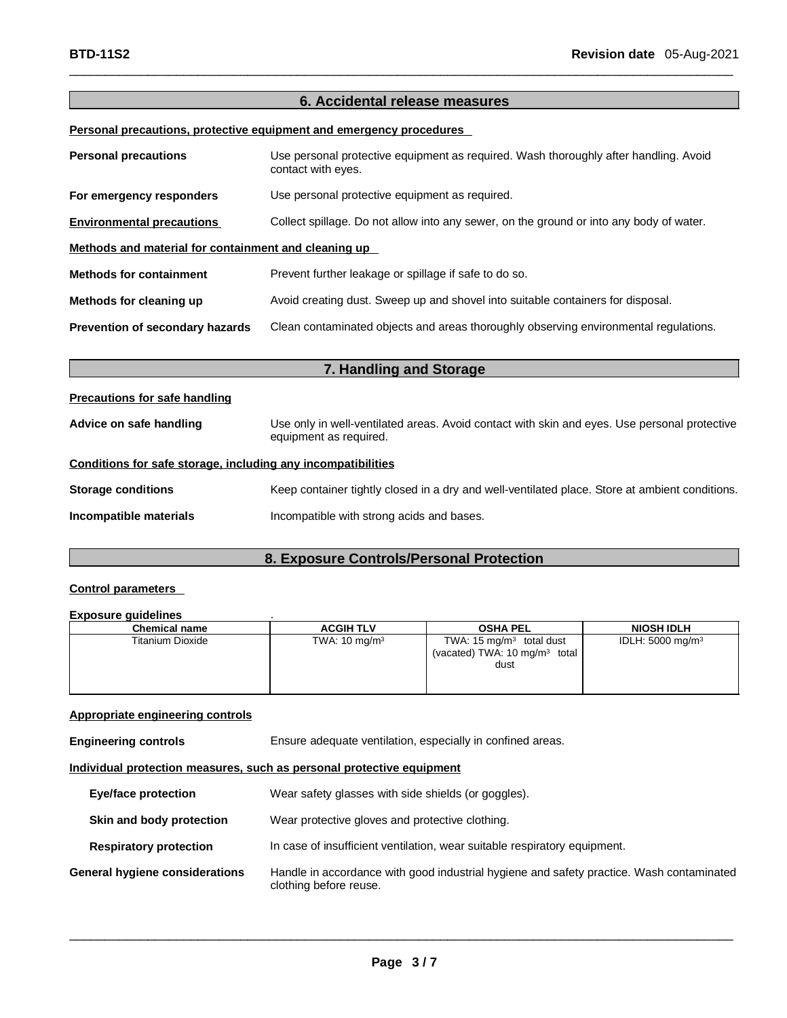### **6. Accidental release measures**

 $\Box$ 

### **Personal precautions, protective equipment and emergency procedures**

| <b>Personal precautions</b>                          | Use personal protective equipment as required. Wash thoroughly after handling. Avoid<br>contact with eyes. |  |
|------------------------------------------------------|------------------------------------------------------------------------------------------------------------|--|
| For emergency responders                             | Use personal protective equipment as required.                                                             |  |
| <b>Environmental precautions</b>                     | Collect spillage. Do not allow into any sewer, on the ground or into any body of water.                    |  |
| Methods and material for containment and cleaning up |                                                                                                            |  |
| <b>Methods for containment</b>                       | Prevent further leakage or spillage if safe to do so.                                                      |  |
| Methods for cleaning up                              | Avoid creating dust. Sweep up and shovel into suitable containers for disposal.                            |  |
| Prevention of secondary hazards                      | Clean contaminated objects and areas thoroughly observing environmental regulations.                       |  |

### **7. Handling and Storage**

### **Precautions for safe handling**

| Advice on safe handling | Use only in well-ventilated areas. Avoid contact with skin and eyes. Use personal protective |
|-------------------------|----------------------------------------------------------------------------------------------|
|                         | equipment as required.                                                                       |

### **Conditions for safe storage, including any incompatibilities**

| <b>Storage conditions</b> | Keep container tightly closed in a dry and well-ventilated place. Store at ambient conditions. |
|---------------------------|------------------------------------------------------------------------------------------------|
| Incompatible materials    | Incompatible with strong acids and bases.                                                      |

### **8. Exposure Controls/Personal Protection**

### **Control parameters**

#### **Exposure guidelines** .

| <b>Chemical name</b> | <b>ACGIH TLV</b>         | <b>OSHA PEL</b>                             | <b>NIOSH IDLH</b>           |
|----------------------|--------------------------|---------------------------------------------|-----------------------------|
| Titanium Dioxide     | TWA: $10 \text{ mg/m}^3$ | TWA: 15 $mg/m3$ total dust                  | IDLH: $5000 \text{ mg/m}^3$ |
|                      |                          | (vacated) TWA: $10 \text{ mg/m}^3$<br>total |                             |
|                      |                          | dust                                        |                             |
|                      |                          |                                             |                             |
|                      |                          |                                             |                             |

### **Appropriate engineering controls**

**Engineering controls** Ensure adequate ventilation, especially in confined areas.

### **Individual protection measures, such as personal protective equipment**

| <b>Eye/face protection</b>     | Wear safety glasses with side shields (or goggles).                                                                |
|--------------------------------|--------------------------------------------------------------------------------------------------------------------|
| Skin and body protection       | Wear protective gloves and protective clothing.                                                                    |
| <b>Respiratory protection</b>  | In case of insufficient ventilation, wear suitable respiratory equipment.                                          |
| General hygiene considerations | Handle in accordance with good industrial hygiene and safety practice. Wash contaminated<br>clothing before reuse. |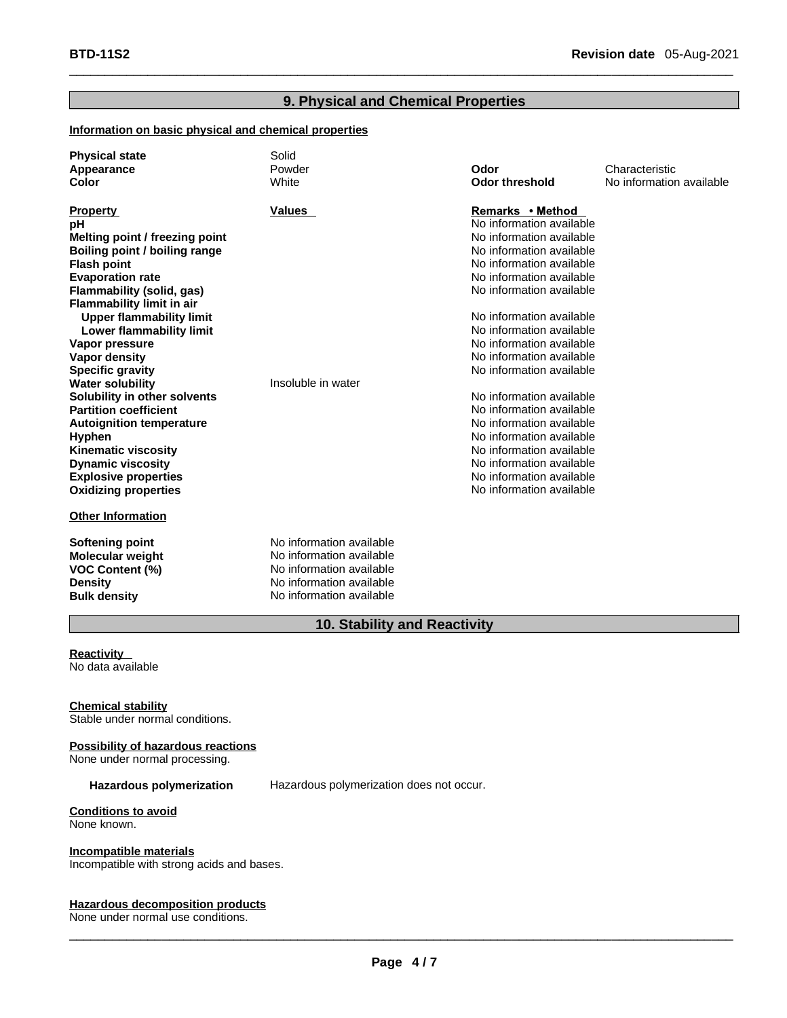### **9. Physical and Chemical Properties**

 $\Box$ 

### **Information on basic physical and chemical properties**

| <b>Physical state</b><br>Appearance<br>Color                                                                                                                                                                                                                                                                                                                                                                                                                                                                                                                                                                                                      | Solid<br>Powder<br>White                                                                                                                 | Odor<br><b>Odor threshold</b>                                                                                                                                                                                                                                                                                                                                                                                                                                                                                                                                        | Characteristic<br>No information available |
|---------------------------------------------------------------------------------------------------------------------------------------------------------------------------------------------------------------------------------------------------------------------------------------------------------------------------------------------------------------------------------------------------------------------------------------------------------------------------------------------------------------------------------------------------------------------------------------------------------------------------------------------------|------------------------------------------------------------------------------------------------------------------------------------------|----------------------------------------------------------------------------------------------------------------------------------------------------------------------------------------------------------------------------------------------------------------------------------------------------------------------------------------------------------------------------------------------------------------------------------------------------------------------------------------------------------------------------------------------------------------------|--------------------------------------------|
| <b>Property</b><br>pH<br>Melting point / freezing point<br>Boiling point / boiling range<br><b>Flash point</b><br><b>Evaporation rate</b><br>Flammability (solid, gas)<br><b>Flammability limit in air</b><br><b>Upper flammability limit</b><br>Lower flammability limit<br>Vapor pressure<br><b>Vapor density</b><br><b>Specific gravity</b><br><b>Water solubility</b><br>Solubility in other solvents<br><b>Partition coefficient</b><br><b>Autoignition temperature</b><br><b>Hyphen</b><br><b>Kinematic viscosity</b><br><b>Dynamic viscosity</b><br><b>Explosive properties</b><br><b>Oxidizing properties</b><br><b>Other Information</b> | <b>Values</b><br>Insoluble in water                                                                                                      | Remarks • Method<br>No information available<br>No information available<br>No information available<br>No information available<br>No information available<br>No information available<br>No information available<br>No information available<br>No information available<br>No information available<br>No information available<br>No information available<br>No information available<br>No information available<br>No information available<br>No information available<br>No information available<br>No information available<br>No information available |                                            |
| Softening point<br><b>Molecular weight</b><br><b>VOC Content (%)</b><br><b>Density</b><br><b>Bulk density</b>                                                                                                                                                                                                                                                                                                                                                                                                                                                                                                                                     | No information available<br>No information available<br>No information available<br>No information available<br>No information available |                                                                                                                                                                                                                                                                                                                                                                                                                                                                                                                                                                      |                                            |

### **10. Stability and Reactivity**

#### **Reactivity** No data available

**Chemical stability**

Stable under normal conditions.

#### **Possibility of hazardous reactions** None under normal processing.

**Hazardous polymerization** Hazardous polymerization does not occur.

## **Conditions to avoid**

None known.

### **Incompatible materials**

Incompatible with strong acids and bases.

### **Hazardous decomposition products**

None under normal use conditions.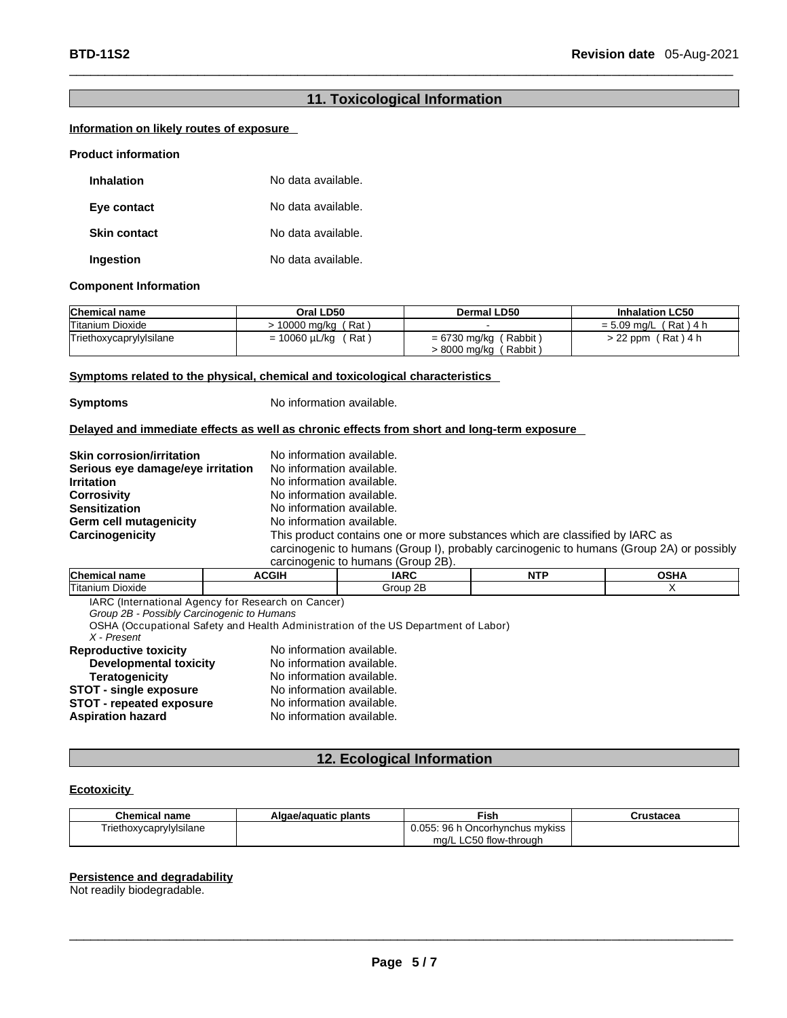### **11. Toxicological Information**

 $\Box$ 

### **Information on likely routes of exposure**

#### **Product information**

| <b>Inhalation</b>   | No data available. |
|---------------------|--------------------|
| Eye contact         | No data available. |
| <b>Skin contact</b> | No data available. |
| Ingestion           | No data available. |

#### **Component Information**

| <b>Chemical name</b>    | Oral LD50               | Dermal LD50                | <b>Inhalation LC50</b>  |
|-------------------------|-------------------------|----------------------------|-------------------------|
| Titanium Dioxide        | 10000 ma/ka (Rat)       |                            | $= 5.09$ mg/L (Rat) 4 h |
| Triethoxycaprylylsilane | = 10060 µL/kg<br>,Rat \ | = 6730 mg/kg (<br>(Rabbit) | $> 22$ ppm (Rat) 4 h    |
|                         |                         | > 8000 mg/kg (<br>Rabbit)  |                         |

#### **Symptoms related to the physical, chemical and toxicological characteristics**

**Symptoms** No information available.

#### **Delayed and immediate effects as well as chronic effects from short and long-term exposure**

| <b>Skin corrosion/irritation</b>  | No information available.                                                                |
|-----------------------------------|------------------------------------------------------------------------------------------|
| Serious eye damage/eye irritation | No information available.                                                                |
| <b>Irritation</b>                 | No information available.                                                                |
| <b>Corrosivity</b>                | No information available.                                                                |
| <b>Sensitization</b>              | No information available.                                                                |
| Germ cell mutagenicity            | No information available.                                                                |
| Carcinogenicity                   | This product contains one or more substances which are classified by IARC as             |
|                                   | carcinogenic to humans (Group I), probably carcinogenic to humans (Group 2A) or possibly |
|                                   | carcinogenic to humans (Group 2R)                                                        |

| <b>Carcinouenic</b><br>ιU<br>пинањ<br><b>UUUUU ZDI.</b> |              |                     |      |               |
|---------------------------------------------------------|--------------|---------------------|------|---------------|
| Chemio<br>name                                          | <b>ACGIH</b> | <b>IADC</b><br>IAIV | NITE | റല മ<br>ארוטי |
| Titaniun<br>Dioxide                                     |              | 2Ε<br>' iroup       |      |               |

IARC (International Agency for Research on Cancer)

*Group 2B - Possibly Carcinogenic to Humans*

OSHA (Occupational Safety and Health Administration of the US Department of Labor)

## *X - Present*

| No information available. |
|---------------------------|
| No information available. |
| No information available. |
| No information available. |
| No information available. |
| No information available. |
|                           |

### **12. Ecological Information**

#### **Ecotoxicity**

| <b>Chemical name</b>    | Algae/aguatic plants | ™ish                            | Crustacea |
|-------------------------|----------------------|---------------------------------|-----------|
| Triethoxycaprylylsilane |                      | 0.055: 96 h Oncorhynchus mykiss |           |
|                         |                      | ma/L LC50 flow-through          |           |

### **Persistence and degradability**

Not readily biodegradable.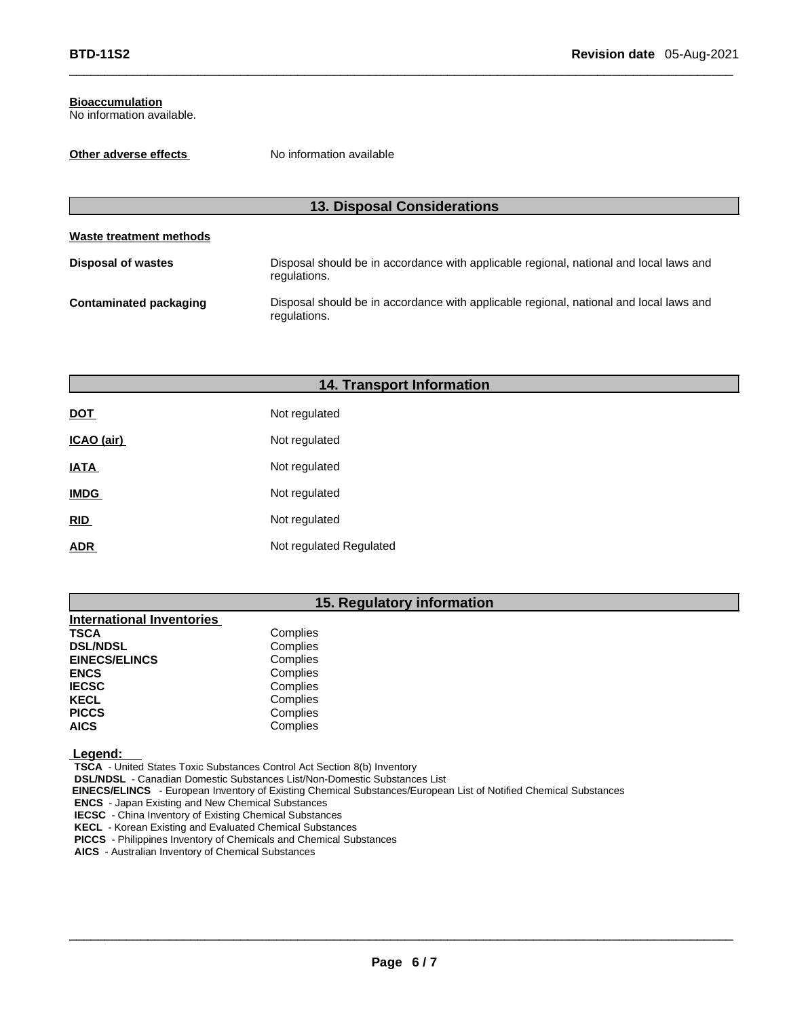### **Bioaccumulation**

No information available.

**Other adverse effects** No information available

| <b>13. Disposal Considerations</b> |                                                                                                        |  |  |
|------------------------------------|--------------------------------------------------------------------------------------------------------|--|--|
| Waste treatment methods            |                                                                                                        |  |  |
| <b>Disposal of wastes</b>          | Disposal should be in accordance with applicable regional, national and local laws and<br>regulations. |  |  |
| <b>Contaminated packaging</b>      | Disposal should be in accordance with applicable regional, national and local laws and<br>regulations. |  |  |

 $\Box$ 

| <b>14. Transport Information</b> |                         |  |  |
|----------------------------------|-------------------------|--|--|
| <b>DOT</b>                       | Not regulated           |  |  |
| ICAO (air)                       | Not regulated           |  |  |
| <b>IATA</b>                      | Not regulated           |  |  |
| <b>IMDG</b>                      | Not regulated           |  |  |
| RID                              | Not regulated           |  |  |
| <b>ADR</b>                       | Not regulated Regulated |  |  |

### **15. Regulatory information**

| <b>International Inventories</b> |          |
|----------------------------------|----------|
| <b>TSCA</b>                      | Complies |
| <b>DSL/NDSL</b>                  | Complies |
| <b>EINECS/ELINCS</b>             | Complies |
| <b>ENCS</b>                      | Complies |
| <b>IECSC</b>                     | Complies |
| <b>KECL</b>                      | Complies |
| <b>PICCS</b>                     | Complies |
| <b>AICS</b>                      | Complies |
|                                  |          |

 **Legend:**

 **TSCA** - United States Toxic Substances Control Act Section 8(b) Inventory

 **DSL/NDSL** - Canadian Domestic Substances List/Non-Domestic Substances List

 **EINECS/ELINCS** - European Inventory of Existing Chemical Substances/European List of Notified Chemical Substances

 **ENCS** - Japan Existing and New Chemical Substances

 **IECSC** - China Inventory of Existing Chemical Substances

 **KECL** - Korean Existing and Evaluated Chemical Substances

 **PICCS** - Philippines Inventory of Chemicals and Chemical Substances

 **AICS** - Australian Inventory of Chemical Substances